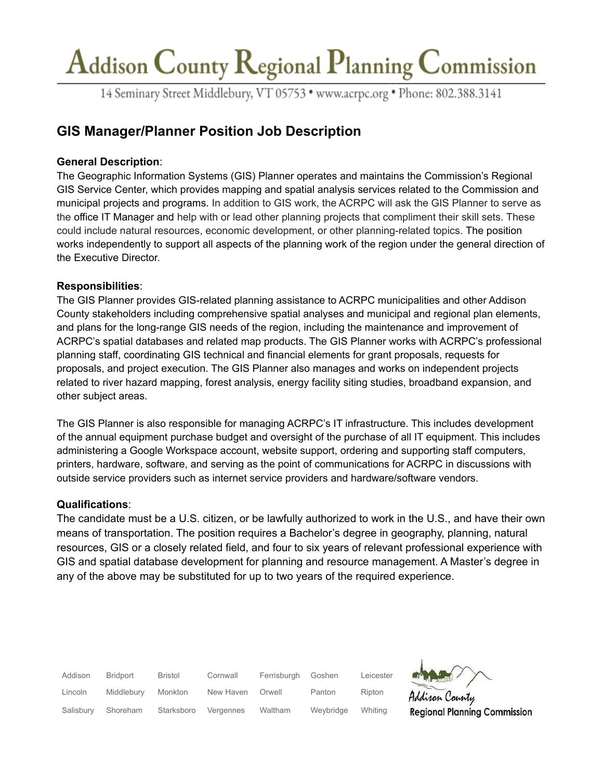## Addison County Regional Planning Commission

14 Seminary Street Middlebury, VT 05753 · www.acrpc.org · Phone: 802.388.3141

### **GIS Manager/Planner Position Job Description**

#### **General Description**:

The Geographic Information Systems (GIS) Planner operates and maintains the Commission's Regional GIS Service Center, which provides mapping and spatial analysis services related to the Commission and municipal projects and programs. In addition to GIS work, the ACRPC will ask the GIS Planner to serve as the office IT Manager and help with or lead other planning projects that compliment their skill sets. These could include natural resources, economic development, or other planning-related topics. The position works independently to support all aspects of the planning work of the region under the general direction of the Executive Director.

#### **Responsibilities**:

The GIS Planner provides GIS-related planning assistance to ACRPC municipalities and other Addison County stakeholders including comprehensive spatial analyses and municipal and regional plan elements, and plans for the long-range GIS needs of the region, including the maintenance and improvement of ACRPC's spatial databases and related map products. The GIS Planner works with ACRPC's professional planning staff, coordinating GIS technical and financial elements for grant proposals, requests for proposals, and project execution. The GIS Planner also manages and works on independent projects related to river hazard mapping, forest analysis, energy facility siting studies, broadband expansion, and other subject areas.

The GIS Planner is also responsible for managing ACRPC's IT infrastructure. This includes development of the annual equipment purchase budget and oversight of the purchase of all IT equipment. This includes administering a Google Workspace account, website support, ordering and supporting staff computers, printers, hardware, software, and serving as the point of communications for ACRPC in discussions with outside service providers such as internet service providers and hardware/software vendors.

#### **Qualifications**:

The candidate must be a U.S. citizen, or be lawfully authorized to work in the U.S., and have their own means of transportation. The position requires a Bachelor's degree in geography, planning, natural resources, GIS or a closely related field, and four to six years of relevant professional experience with GIS and spatial database development for planning and resource management. A Master's degree in any of the above may be substituted for up to two years of the required experience.

| Addison   | Bridport   | Bristol    | Cornwall  | Ferrisburgh | Goshen    | Leicester |
|-----------|------------|------------|-----------|-------------|-----------|-----------|
| Lincoln   | Middlebury | Monkton    | New Haven | Orwell      | Panton    | Ripton    |
| Salisbury | Shoreham   | Starksboro | Vergennes | Waltham     | Weybridge | Whiting   |

isan Cauntu **Regional Planning Commission**